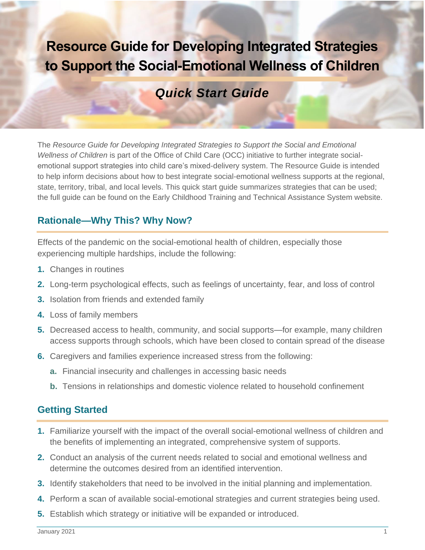# **Resource Guide for Developing Integrated Strategies to Support the Social-Emotional Wellness of Children**

## *Quick Start Guide*

The *Resource Guide for Developing Integrated Strategies to Support the Social and Emotional Wellness of Children* is part of the Office of Child Care (OCC) initiative to further integrate socialemotional support strategies into child care's mixed-delivery system. The Resource Guide is intended to help inform decisions about how to best integrate social-emotional wellness supports at the regional, state, territory, tribal, and local levels. This quick start guide summarizes strategies that can be used; the full guide can be found on the Early Childhood Training and Technical Assistance System website.

### **Rationale—Why This? Why Now?**

Effects of the pandemic on the social-emotional health of children, especially those experiencing multiple hardships, include the following:

- **1.** Changes in routines
- **2.** Long-term psychological effects, such as feelings of uncertainty, fear, and loss of control
- **3.** Isolation from friends and extended family
- **4.** Loss of family members
- **5.** Decreased access to health, community, and social supports—for example, many children access supports through schools, which have been closed to contain spread of the disease
- **6.** Caregivers and families experience increased stress from the following:
	- **a.** Financial insecurity and challenges in accessing basic needs
	- **b.** Tensions in relationships and domestic violence related to household confinement

### **Getting Started**

- **1.** Familiarize yourself with the impact of the overall social-emotional wellness of children and the benefits of implementing an integrated, comprehensive system of supports.
- **2.** Conduct an analysis of the current needs related to social and emotional wellness and determine the outcomes desired from an identified intervention.
- **3.** Identify stakeholders that need to be involved in the initial planning and implementation.
- **4.** Perform a scan of available social-emotional strategies and current strategies being used.
- **5.** Establish which strategy or initiative will be expanded or introduced.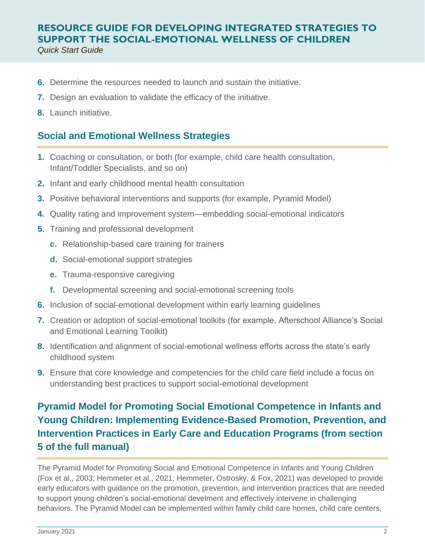- **6.** Determine the resources needed to launch and sustain the initiative.
- **7.** Design an evaluation to validate the efficacy of the initiative.
- **8.** Launch initiative.

#### **Social and Emotional Wellness Strategies**

- **1.** Coaching or consultation, or both (for example, child care health consultation, Infant/Toddler Specialists, and so on)
- **2.** Infant and early childhood mental health consultation
- **3.** Positive behavioral interventions and supports (for example, Pyramid Model)
- **4.** Quality rating and improvement system—embedding social-emotional indicators
- **5.** Training and professional development
	- **c.** Relationship-based care training for trainers
	- **d.** Social-emotional support strategies
	- **e.** Trauma-responsive caregiving
	- **f.** Developmental screening and social-emotional screening tools
- **6.** Inclusion of social-emotional development within early learning guidelines
- **7.** Creation or adoption of social-emotional toolkits (for example, Afterschool Alliance's Social and Emotional Learning Toolkit)
- **8.** Identification and alignment of social-emotional wellness efforts across the state's early childhood system
- **9.** Ensure that core knowledge and competencies for the child care field include a focus on understanding best practices to support social-emotional development

### **Pyramid Model for Promoting Social Emotional Competence in Infants and Young Children: Implementing Evidence-Based Promotion, Prevention, and Intervention Practices in Early Care and Education Programs (from section 5 of the full manual)**

The Pyramid Model for Promoting Social and Emotional Competence in Infants and Young Children (Fox et al., 2003; Hemmeter et al., 2021; Hemmeter, Ostrosky, & Fox, 2021) was developed to provide early educators with guidance on the promotion, prevention, and intervention practices that are needed to support young children's social-emotional develment and effectively intervene in challenging behaviors. The Pyramid Model can be implemented within family child care homes, child care centers,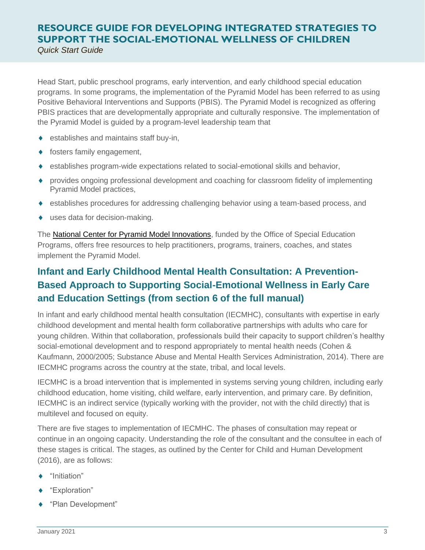Head Start, public preschool programs, early intervention, and early childhood special education programs. In some programs, the implementation of the Pyramid Model has been referred to as using Positive Behavioral Interventions and Supports (PBIS). The Pyramid Model is recognized as offering PBIS practices that are developmentally appropriate and culturally responsive. The implementation of the Pyramid Model is guided by a program-level leadership team that

- establishes and maintains staff buy-in,
- fosters family engagement,
- establishes program-wide expectations related to social-emotional skills and behavior,
- provides ongoing professional development and coaching for classroom fidelity of implementing Pyramid Model practices,
- establishes procedures for addressing challenging behavior using a team-based process, and
- uses data for decision-making.

The [National Center for Pyramid Model Innovations,](https://challengingbehavior.cbcs.usf.edu/) funded by the Office of Special Education Programs, offers free resources to help practitioners, programs, trainers, coaches, and states implement the Pyramid Model.

### **Infant and Early Childhood Mental Health Consultation: A Prevention-Based Approach to Supporting Social-Emotional Wellness in Early Care and Education Settings (from section 6 of the full manual)**

In infant and early childhood mental health consultation (IECMHC), consultants with expertise in early childhood development and mental health form collaborative partnerships with adults who care for young children. Within that collaboration, professionals build their capacity to support children's healthy social-emotional development and to respond appropriately to mental health needs (Cohen & Kaufmann, 2000/2005; Substance Abuse and Mental Health Services Administration, 2014). There are IECMHC programs across the country at the state, tribal, and local levels.

IECMHC is a broad intervention that is implemented in systems serving young children, including early childhood education, home visiting, child welfare, early intervention, and primary care. By definition, IECMHC is an indirect service (typically working with the provider, not with the child directly) that is multilevel and focused on equity.

There are five stages to implementation of IECMHC. The phases of consultation may repeat or continue in an ongoing capacity. Understanding the role of the consultant and the consultee in each of these stages is critical. The stages, as outlined by the Center for Child and Human Development (2016), are as follows:

- "Initiation"
- "Exploration"
- $\blacklozenge$ "Plan Development"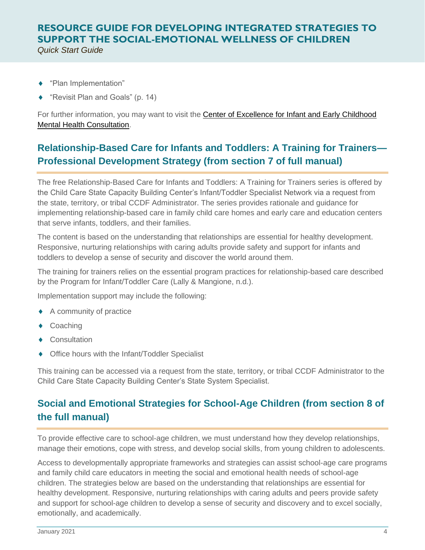- $\blacklozenge$ "Plan Implementation"
- $\blacklozenge$ "Revisit Plan and Goals" (p. 14)

For further information, you may want to visit the Center of Excellence for Infant and Early Childhood [Mental Health Consultation.](https://www.iecmhc.org/)

### **Relationship-Based Care for Infants and Toddlers: A Training for Trainers— Professional Development Strategy (from section 7 of full manual)**

The free Relationship-Based Care for Infants and Toddlers: A Training for Trainers series is offered by the Child Care State Capacity Building Center's Infant/Toddler Specialist Network via a request from the state, territory, or tribal CCDF Administrator. The series provides rationale and guidance for implementing relationship-based care in family child care homes and early care and education centers that serve infants, toddlers, and their families.

The content is based on the understanding that relationships are essential for healthy development. Responsive, nurturing relationships with caring adults provide safety and support for infants and toddlers to develop a sense of security and discover the world around them.

The training for trainers relies on the essential program practices for relationship-based care described by the Program for Infant/Toddler Care (Lally & Mangione, n.d.).

Implementation support may include the following:

- ◆ A community of practice
- ◆ Coaching
- $\blacklozenge$ **Consultation**
- $\blacklozenge$ Office hours with the Infant/Toddler Specialist

This training can be accessed via a request from the state, territory, or tribal CCDF Administrator to the Child Care State Capacity Building Center's State System Specialist.

### **Social and Emotional Strategies for School-Age Children (from section 8 of the full manual)**

To provide effective care to school-age children, we must understand how they develop relationships, manage their emotions, cope with stress, and develop social skills, from young children to adolescents.

Access to developmentally appropriate frameworks and strategies can assist school-age care programs and family child care educators in meeting the social and emotional health needs of school-age children. The strategies below are based on the understanding that relationships are essential for healthy development. Responsive, nurturing relationships with caring adults and peers provide safety and support for school-age children to develop a sense of security and discovery and to excel socially, emotionally, and academically.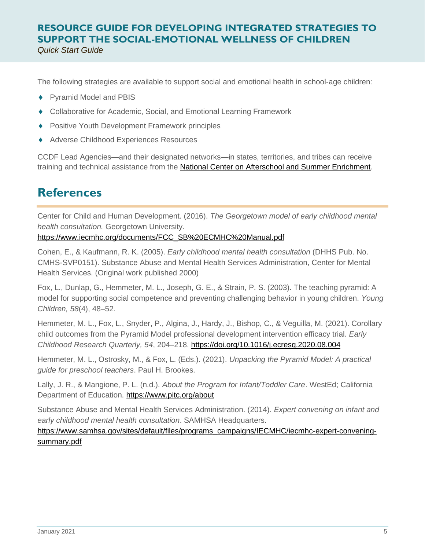The following strategies are available to support social and emotional health in school-age children:

- ◆ Pyramid Model and PBIS
- Collaborative for Academic, Social, and Emotional Learning Framework
- Positive Youth Development Framework principles
- Adverse Childhood Experiences Resources

CCDF Lead Agencies—and their designated networks—in states, territories, and tribes can receive training and technical assistance from the **National Center on Afterschool and Summer Enrichment**.

### **References**

Center for Child and Human Development. (2016). *The Georgetown model of early childhood mental health consultation.* Georgetown University.

#### [https://www.iecmhc.org/documents/FCC\\_SB%20ECMHC%20Manual.pdf](https://www.iecmhc.org/documents/FCC_SB%20ECMHC%20Manual.pdf)

Cohen, E., & Kaufmann, R. K. (2005). *Early childhood mental health consultation* (DHHS Pub. No. CMHS-SVP0151). Substance Abuse and Mental Health Services Administration, Center for Mental Health Services. (Original work published 2000)

Fox, L., Dunlap, G., Hemmeter, M. L., Joseph, G. E., & Strain, P. S. (2003). The teaching pyramid: A model for supporting social competence and preventing challenging behavior in young children. *Young Children, 58*(4), 48–52.

Hemmeter, M. L., Fox, L., Snyder, P., Algina, J., Hardy, J., Bishop, C., & Veguilla, M. (2021). Corollary child outcomes from the Pyramid Model professional development intervention efficacy trial. *Early Childhood Research Quarterly, 54*, 204–218.<https://doi.org/10.1016/j.ecresq.2020.08.004>

Hemmeter, M. L., Ostrosky, M., & Fox, L. (Eds.). (2021). *Unpacking the Pyramid Model: A practical guide for preschool teachers*. Paul H. Brookes.

Lally, J. R., & Mangione, P. L. (n.d.). *About the Program for Infant/Toddler Care*. WestEd; California Department of Education.<https://www.pitc.org/about>

Substance Abuse and Mental Health Services Administration. (2014). *Expert convening on infant and early childhood mental health consultation*. SAMHSA Headquarters.

[https://www.samhsa.gov/sites/default/files/programs\\_campaigns/IECMHC/iecmhc-expert-convening](https://www.samhsa.gov/sites/default/files/programs_campaigns/IECMHC/iecmhc-expert-convening-summary.pdf)[summary.pdf](https://www.samhsa.gov/sites/default/files/programs_campaigns/IECMHC/iecmhc-expert-convening-summary.pdf)